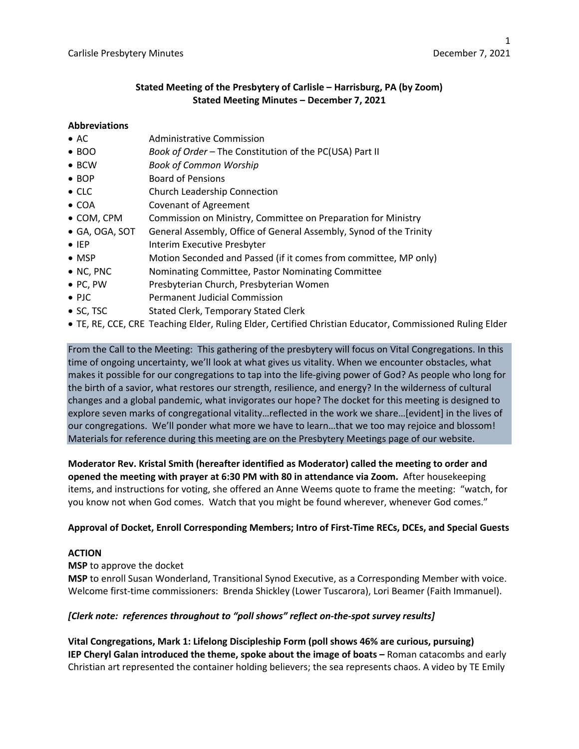## **Stated Meeting of the Presbytery of Carlisle – Harrisburg, PA (by Zoom) Stated Meeting Minutes – December 7, 2021**

## **Abbreviations**

- AC Administrative Commission
- BOO *Book of Order –* The Constitution of the PC(USA) Part II
- BCW *Book of Common Worship*
- BOP Board of Pensions
- CLC Church Leadership Connection
- COA Covenant of Agreement
- COM, CPM Commission on Ministry, Committee on Preparation for Ministry
- GA, OGA, SOT General Assembly, Office of General Assembly, Synod of the Trinity
- IEP Interim Executive Presbyter
- MSP Motion Seconded and Passed (if it comes from committee, MP only)
- NC, PNC Nominating Committee, Pastor Nominating Committee
- PC, PW Presbyterian Church, Presbyterian Women
- PJC Permanent Judicial Commission
- SC, TSC Stated Clerk, Temporary Stated Clerk
- TE, RE, CCE, CRE Teaching Elder, Ruling Elder, Certified Christian Educator, Commissioned Ruling Elder

From the Call to the Meeting: This gathering of the presbytery will focus on Vital Congregations. In this time of ongoing uncertainty, we'll look at what gives us vitality. When we encounter obstacles, what makes it possible for our congregations to tap into the life-giving power of God? As people who long for the birth of a savior, what restores our strength, resilience, and energy? In the wilderness of cultural changes and a global pandemic, what invigorates our hope? The docket for this meeting is designed to explore seven marks of congregational vitality…reflected in the work we share…[evident] in the lives of our congregations. We'll ponder what more we have to learn…that we too may rejoice and blossom! Materials for reference during this meeting are on the Presbytery Meetings page of our website.

**Moderator Rev. Kristal Smith (hereafter identified as Moderator) called the meeting to order and opened the meeting with prayer at 6:30 PM with 80 in attendance via Zoom.** After housekeeping items, and instructions for voting, she offered an Anne Weems quote to frame the meeting: "watch, for you know not when God comes. Watch that you might be found wherever, whenever God comes."

## **Approval of Docket, Enroll Corresponding Members; Intro of First-Time RECs, DCEs, and Special Guests**

### **ACTION**

**MSP** to approve the docket

**MSP** to enroll Susan Wonderland, Transitional Synod Executive, as a Corresponding Member with voice. Welcome first-time commissioners: Brenda Shickley (Lower Tuscarora), Lori Beamer (Faith Immanuel).

## *[Clerk note: references throughout to "poll shows" reflect on-the-spot survey results]*

**Vital Congregations, Mark 1: Lifelong Discipleship Form (poll shows 46% are curious, pursuing) IEP Cheryl Galan introduced the theme, spoke about the image of boats –** Roman catacombs and early Christian art represented the container holding believers; the sea represents chaos. A video by TE Emily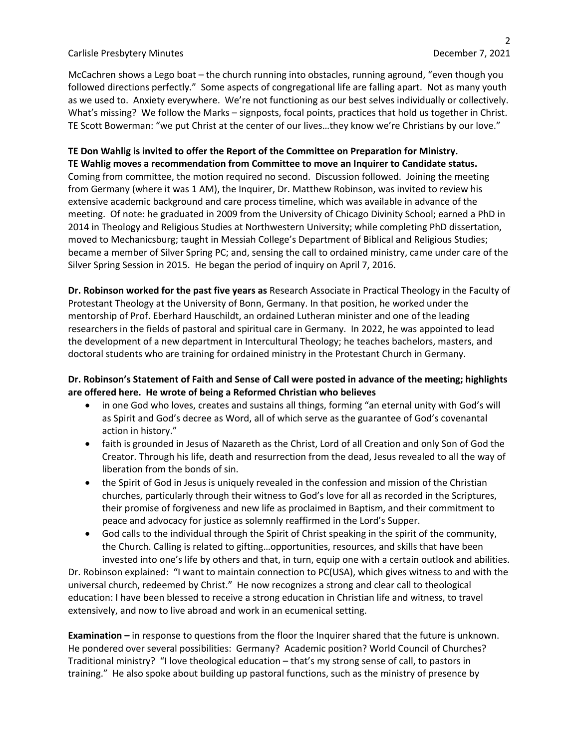McCachren shows a Lego boat – the church running into obstacles, running aground, "even though you followed directions perfectly." Some aspects of congregational life are falling apart. Not as many youth as we used to. Anxiety everywhere. We're not functioning as our best selves individually or collectively. What's missing? We follow the Marks – signposts, focal points, practices that hold us together in Christ. TE Scott Bowerman: "we put Christ at the center of our lives…they know we're Christians by our love."

#### **TE Don Wahlig is invited to offer the Report of the Committee on Preparation for Ministry. TE Wahlig moves a recommendation from Committee to move an Inquirer to Candidate status.**

Coming from committee, the motion required no second. Discussion followed. Joining the meeting from Germany (where it was 1 AM), the Inquirer, Dr. Matthew Robinson, was invited to review his extensive academic background and care process timeline, which was available in advance of the meeting. Of note: he graduated in 2009 from the University of Chicago Divinity School; earned a PhD in 2014 in Theology and Religious Studies at Northwestern University; while completing PhD dissertation, moved to Mechanicsburg; taught in Messiah College's Department of Biblical and Religious Studies; became a member of Silver Spring PC; and, sensing the call to ordained ministry, came under care of the Silver Spring Session in 2015. He began the period of inquiry on April 7, 2016.

**Dr. Robinson worked for the past five years as** Research Associate in Practical Theology in the Faculty of Protestant Theology at the University of Bonn, Germany. In that position, he worked under the mentorship of Prof. Eberhard Hauschildt, an ordained Lutheran minister and one of the leading researchers in the fields of pastoral and spiritual care in Germany. In 2022, he was appointed to lead the development of a new department in Intercultural Theology; he teaches bachelors, masters, and doctoral students who are training for ordained ministry in the Protestant Church in Germany.

## **Dr. Robinson's Statement of Faith and Sense of Call were posted in advance of the meeting; highlights are offered here. He wrote of being a Reformed Christian who believes**

- in one God who loves, creates and sustains all things, forming "an eternal unity with God's will as Spirit and God's decree as Word, all of which serve as the guarantee of God's covenantal action in history."
- faith is grounded in Jesus of Nazareth as the Christ, Lord of all Creation and only Son of God the Creator. Through his life, death and resurrection from the dead, Jesus revealed to all the way of liberation from the bonds of sin.
- the Spirit of God in Jesus is uniquely revealed in the confession and mission of the Christian churches, particularly through their witness to God's love for all as recorded in the Scriptures, their promise of forgiveness and new life as proclaimed in Baptism, and their commitment to peace and advocacy for justice as solemnly reaffirmed in the Lord's Supper.
- God calls to the individual through the Spirit of Christ speaking in the spirit of the community, the Church. Calling is related to gifting…opportunities, resources, and skills that have been invested into one's life by others and that, in turn, equip one with a certain outlook and abilities.

Dr. Robinson explained: "I want to maintain connection to PC(USA), which gives witness to and with the universal church, redeemed by Christ." He now recognizes a strong and clear call to theological education: I have been blessed to receive a strong education in Christian life and witness, to travel extensively, and now to live abroad and work in an ecumenical setting.

**Examination –** in response to questions from the floor the Inquirer shared that the future is unknown. He pondered over several possibilities: Germany? Academic position? World Council of Churches? Traditional ministry? "I love theological education – that's my strong sense of call, to pastors in training." He also spoke about building up pastoral functions, such as the ministry of presence by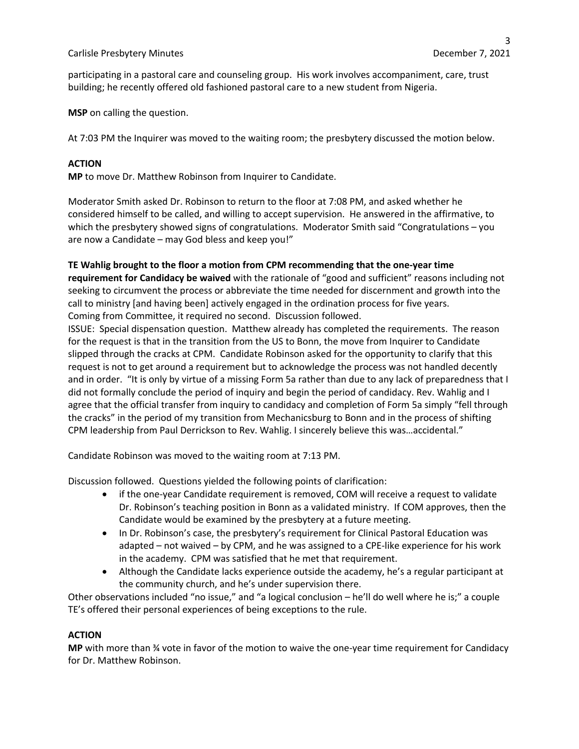participating in a pastoral care and counseling group. His work involves accompaniment, care, trust building; he recently offered old fashioned pastoral care to a new student from Nigeria.

**MSP** on calling the question.

At 7:03 PM the Inquirer was moved to the waiting room; the presbytery discussed the motion below.

### **ACTION**

**MP** to move Dr. Matthew Robinson from Inquirer to Candidate.

Moderator Smith asked Dr. Robinson to return to the floor at 7:08 PM, and asked whether he considered himself to be called, and willing to accept supervision. He answered in the affirmative, to which the presbytery showed signs of congratulations. Moderator Smith said "Congratulations – you are now a Candidate – may God bless and keep you!"

#### **TE Wahlig brought to the floor a motion from CPM recommending that the one-year time**

**requirement for Candidacy be waived** with the rationale of "good and sufficient" reasons including not seeking to circumvent the process or abbreviate the time needed for discernment and growth into the call to ministry [and having been] actively engaged in the ordination process for five years. Coming from Committee, it required no second. Discussion followed.

ISSUE: Special dispensation question. Matthew already has completed the requirements. The reason for the request is that in the transition from the US to Bonn, the move from Inquirer to Candidate slipped through the cracks at CPM. Candidate Robinson asked for the opportunity to clarify that this request is not to get around a requirement but to acknowledge the process was not handled decently and in order. "It is only by virtue of a missing Form 5a rather than due to any lack of preparedness that I did not formally conclude the period of inquiry and begin the period of candidacy. Rev. Wahlig and I agree that the official transfer from inquiry to candidacy and completion of Form 5a simply "fell through the cracks" in the period of my transition from Mechanicsburg to Bonn and in the process of shifting CPM leadership from Paul Derrickson to Rev. Wahlig. I sincerely believe this was…accidental."

Candidate Robinson was moved to the waiting room at 7:13 PM.

Discussion followed. Questions yielded the following points of clarification:

- if the one-year Candidate requirement is removed, COM will receive a request to validate Dr. Robinson's teaching position in Bonn as a validated ministry. If COM approves, then the Candidate would be examined by the presbytery at a future meeting.
- In Dr. Robinson's case, the presbytery's requirement for Clinical Pastoral Education was adapted – not waived – by CPM, and he was assigned to a CPE-like experience for his work in the academy. CPM was satisfied that he met that requirement.
- Although the Candidate lacks experience outside the academy, he's a regular participant at the community church, and he's under supervision there.

Other observations included "no issue," and "a logical conclusion – he'll do well where he is;" a couple TE's offered their personal experiences of being exceptions to the rule.

## **ACTION**

**MP** with more than ¾ vote in favor of the motion to waive the one-year time requirement for Candidacy for Dr. Matthew Robinson.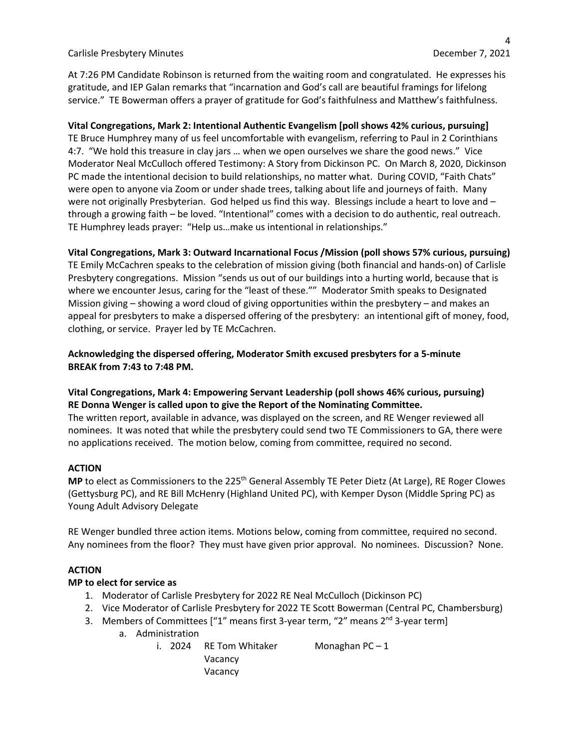At 7:26 PM Candidate Robinson is returned from the waiting room and congratulated. He expresses his gratitude, and IEP Galan remarks that "incarnation and God's call are beautiful framings for lifelong service." TE Bowerman offers a prayer of gratitude for God's faithfulness and Matthew's faithfulness.

## **Vital Congregations, Mark 2: Intentional Authentic Evangelism [poll shows 42% curious, pursuing]**

TE Bruce Humphrey many of us feel uncomfortable with evangelism, referring to Paul in 2 Corinthians 4:7. "We hold this treasure in clay jars … when we open ourselves we share the good news." Vice Moderator Neal McCulloch offered Testimony: A Story from Dickinson PC. On March 8, 2020, Dickinson PC made the intentional decision to build relationships, no matter what. During COVID, "Faith Chats" were open to anyone via Zoom or under shade trees, talking about life and journeys of faith. Many were not originally Presbyterian. God helped us find this way. Blessings include a heart to love and through a growing faith – be loved. "Intentional" comes with a decision to do authentic, real outreach. TE Humphrey leads prayer: "Help us…make us intentional in relationships."

## **Vital Congregations, Mark 3: Outward Incarnational Focus /Mission (poll shows 57% curious, pursuing)**

TE Emily McCachren speaks to the celebration of mission giving (both financial and hands-on) of Carlisle Presbytery congregations. Mission "sends us out of our buildings into a hurting world, because that is where we encounter Jesus, caring for the "least of these."" Moderator Smith speaks to Designated Mission giving – showing a word cloud of giving opportunities within the presbytery – and makes an appeal for presbyters to make a dispersed offering of the presbytery: an intentional gift of money, food, clothing, or service. Prayer led by TE McCachren.

## **Acknowledging the dispersed offering, Moderator Smith excused presbyters for a 5-minute BREAK from 7:43 to 7:48 PM.**

## **Vital Congregations, Mark 4: Empowering Servant Leadership (poll shows 46% curious, pursuing) RE Donna Wenger is called upon to give the Report of the Nominating Committee.**

The written report, available in advance, was displayed on the screen, and RE Wenger reviewed all nominees. It was noted that while the presbytery could send two TE Commissioners to GA, there were no applications received. The motion below, coming from committee, required no second.

### **ACTION**

**MP** to elect as Commissioners to the 225<sup>th</sup> General Assembly TE Peter Dietz (At Large), RE Roger Clowes (Gettysburg PC), and RE Bill McHenry (Highland United PC), with Kemper Dyson (Middle Spring PC) as Young Adult Advisory Delegate

RE Wenger bundled three action items. Motions below, coming from committee, required no second. Any nominees from the floor? They must have given prior approval. No nominees. Discussion? None.

### **ACTION**

### **MP to elect for service as**

- 1. Moderator of Carlisle Presbytery for 2022 RE Neal McCulloch (Dickinson PC)
- 2. Vice Moderator of Carlisle Presbytery for 2022 TE Scott Bowerman (Central PC, Chambersburg)
- 3. Members of Committees  $\lceil$ "1" means first 3-year term, "2" means 2<sup>nd</sup> 3-year term
	- a. Administration
		- i. 2024 RE Tom Whitaker Monaghan  $PC-1$ Vacancy Vacancy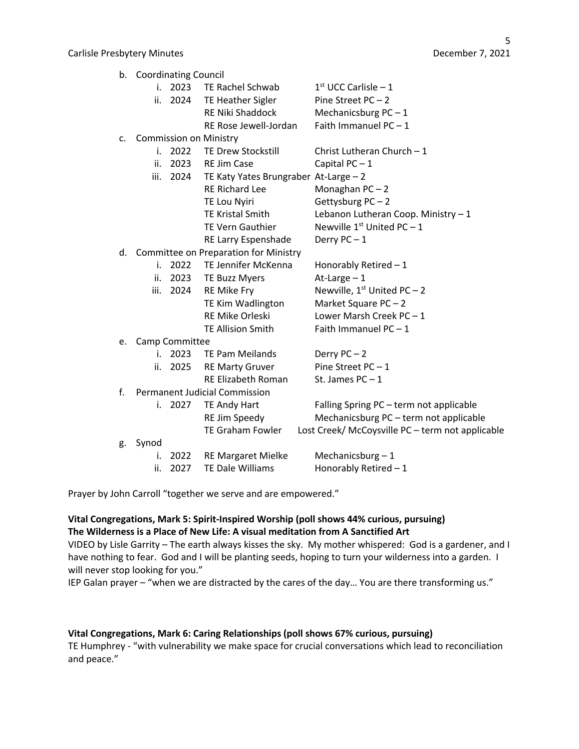| b. | <b>Coordinating Council</b>           |           |                                       |                                                  |
|----|---------------------------------------|-----------|---------------------------------------|--------------------------------------------------|
|    |                                       |           | i. 2023 TE Rachel Schwab              | $1st$ UCC Carlisle - 1                           |
|    | ii.                                   | 2024      | TE Heather Sigler                     | Pine Street $PC-2$                               |
|    |                                       |           | RE Niki Shaddock                      | Mechanicsburg $PC-1$                             |
|    |                                       |           | RE Rose Jewell-Jordan                 | Faith Immanuel $PC - 1$                          |
| c. | <b>Commission on Ministry</b>         |           |                                       |                                                  |
|    | i.                                    | 2022      | <b>TE Drew Stockstill</b>             | Christ Lutheran Church $-1$                      |
|    | ii.                                   | 2023      | <b>RE Jim Case</b>                    | Capital $PC-1$                                   |
|    | iii.                                  | 2024      | TE Katy Yates Brungraber At-Large - 2 |                                                  |
|    |                                       |           | <b>RE Richard Lee</b>                 | Monaghan PC-2                                    |
|    |                                       |           | TE Lou Nyiri                          | Gettysburg PC-2                                  |
|    |                                       |           | <b>TE Kristal Smith</b>               | Lebanon Lutheran Coop. Ministry - 1              |
|    |                                       |           | <b>TE Vern Gauthier</b>               | Newville $1^{st}$ United PC - 1                  |
|    |                                       |           | RE Larry Espenshade                   | Derry $PC-1$                                     |
| d. | Committee on Preparation for Ministry |           |                                       |                                                  |
|    | i.                                    | 2022      | TE Jennifer McKenna                   | Honorably Retired $-1$                           |
|    | ii.                                   | 2023      | <b>TE Buzz Myers</b>                  | At-Large $-1$                                    |
|    |                                       | iii. 2024 | RE Mike Fry                           | Newville, $1^{st}$ United PC - 2                 |
|    |                                       |           | TE Kim Wadlington                     | Market Square PC-2                               |
|    |                                       |           | RE Mike Orleski                       | Lower Marsh Creek $PC-1$                         |
|    |                                       |           | <b>TE Allision Smith</b>              | Faith Immanuel $PC-1$                            |
| e. | Camp Committee                        |           |                                       |                                                  |
|    | İ.                                    | 2023      | TE Pam Meilands                       | Derry $PC-2$                                     |
|    | ii.                                   | 2025      | <b>RE Marty Gruver</b>                | Pine Street $PC - 1$                             |
|    |                                       |           | <b>RE Elizabeth Roman</b>             | St. James $PC-1$                                 |
| f. | <b>Permanent Judicial Commission</b>  |           |                                       |                                                  |
|    | i.                                    | 2027      | TE Andy Hart                          | Falling Spring PC - term not applicable          |
|    |                                       |           | RE Jim Speedy                         | Mechanicsburg PC - term not applicable           |
|    |                                       |           | <b>TE Graham Fowler</b>               | Lost Creek/ McCoysville PC - term not applicable |
| g. | Synod                                 |           |                                       |                                                  |
|    | i.                                    | 2022      | <b>RE Margaret Mielke</b>             | Mechanicsburg $-1$                               |
|    | ii.                                   | 2027      | TE Dale Williams                      | Honorably Retired - 1                            |
|    |                                       |           |                                       |                                                  |

Prayer by John Carroll "together we serve and are empowered."

### **Vital Congregations, Mark 5: Spirit-Inspired Worship (poll shows 44% curious, pursuing) The Wilderness is a Place of New Life: A visual meditation from A Sanctified Art**

VIDEO by Lisle Garrity – The earth always kisses the sky. My mother whispered: God is a gardener, and I have nothing to fear. God and I will be planting seeds, hoping to turn your wilderness into a garden. I will never stop looking for you."

IEP Galan prayer – "when we are distracted by the cares of the day… You are there transforming us."

## **Vital Congregations, Mark 6: Caring Relationships (poll shows 67% curious, pursuing)**

TE Humphrey - "with vulnerability we make space for crucial conversations which lead to reconciliation and peace."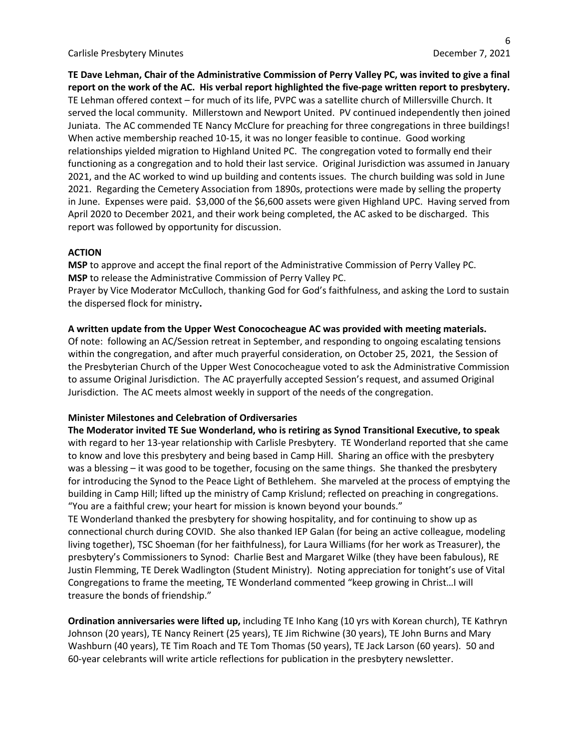**TE Dave Lehman, Chair of the Administrative Commission of Perry Valley PC, was invited to give a final report on the work of the AC. His verbal report highlighted the five-page written report to presbytery.**  TE Lehman offered context – for much of its life, PVPC was a satellite church of Millersville Church. It served the local community. Millerstown and Newport United. PV continued independently then joined Juniata. The AC commended TE Nancy McClure for preaching for three congregations in three buildings! When active membership reached 10-15, it was no longer feasible to continue. Good working relationships yielded migration to Highland United PC. The congregation voted to formally end their functioning as a congregation and to hold their last service. Original Jurisdiction was assumed in January 2021, and the AC worked to wind up building and contents issues. The church building was sold in June 2021. Regarding the Cemetery Association from 1890s, protections were made by selling the property in June. Expenses were paid. \$3,000 of the \$6,600 assets were given Highland UPC. Having served from April 2020 to December 2021, and their work being completed, the AC asked to be discharged. This report was followed by opportunity for discussion.

#### **ACTION**

**MSP** to approve and accept the final report of the Administrative Commission of Perry Valley PC. **MSP** to release the Administrative Commission of Perry Valley PC. Prayer by Vice Moderator McCulloch, thanking God for God's faithfulness, and asking the Lord to sustain the dispersed flock for ministry**.**

#### **A written update from the Upper West Conococheague AC was provided with meeting materials.**

Of note: following an AC/Session retreat in September, and responding to ongoing escalating tensions within the congregation, and after much prayerful consideration, on October 25, 2021, the Session of the Presbyterian Church of the Upper West Conococheague voted to ask the Administrative Commission to assume Original Jurisdiction. The AC prayerfully accepted Session's request, and assumed Original Jurisdiction. The AC meets almost weekly in support of the needs of the congregation.

### **Minister Milestones and Celebration of Ordiversaries**

**The Moderator invited TE Sue Wonderland, who is retiring as Synod Transitional Executive, to speak**  with regard to her 13-year relationship with Carlisle Presbytery. TE Wonderland reported that she came to know and love this presbytery and being based in Camp Hill. Sharing an office with the presbytery was a blessing – it was good to be together, focusing on the same things. She thanked the presbytery for introducing the Synod to the Peace Light of Bethlehem. She marveled at the process of emptying the building in Camp Hill; lifted up the ministry of Camp Krislund; reflected on preaching in congregations. "You are a faithful crew; your heart for mission is known beyond your bounds."

TE Wonderland thanked the presbytery for showing hospitality, and for continuing to show up as connectional church during COVID. She also thanked IEP Galan (for being an active colleague, modeling living together), TSC Shoeman (for her faithfulness), for Laura Williams (for her work as Treasurer), the presbytery's Commissioners to Synod: Charlie Best and Margaret Wilke (they have been fabulous), RE Justin Flemming, TE Derek Wadlington (Student Ministry). Noting appreciation for tonight's use of Vital Congregations to frame the meeting, TE Wonderland commented "keep growing in Christ…I will treasure the bonds of friendship."

**Ordination anniversaries were lifted up,** including TE Inho Kang (10 yrs with Korean church), TE Kathryn Johnson (20 years), TE Nancy Reinert (25 years), TE Jim Richwine (30 years), TE John Burns and Mary Washburn (40 years), TE Tim Roach and TE Tom Thomas (50 years), TE Jack Larson (60 years). 50 and 60-year celebrants will write article reflections for publication in the presbytery newsletter.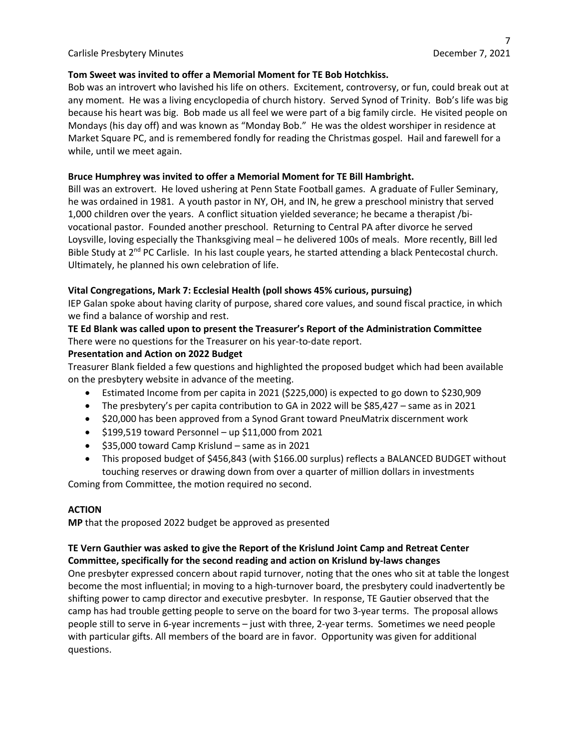## **Tom Sweet was invited to offer a Memorial Moment for TE Bob Hotchkiss.**

Bob was an introvert who lavished his life on others. Excitement, controversy, or fun, could break out at any moment. He was a living encyclopedia of church history. Served Synod of Trinity. Bob's life was big because his heart was big. Bob made us all feel we were part of a big family circle. He visited people on Mondays (his day off) and was known as "Monday Bob." He was the oldest worshiper in residence at Market Square PC, and is remembered fondly for reading the Christmas gospel. Hail and farewell for a while, until we meet again.

## **Bruce Humphrey was invited to offer a Memorial Moment for TE Bill Hambright.**

Bill was an extrovert. He loved ushering at Penn State Football games. A graduate of Fuller Seminary, he was ordained in 1981. A youth pastor in NY, OH, and IN, he grew a preschool ministry that served 1,000 children over the years. A conflict situation yielded severance; he became a therapist /bivocational pastor. Founded another preschool. Returning to Central PA after divorce he served Loysville, loving especially the Thanksgiving meal – he delivered 100s of meals. More recently, Bill led Bible Study at 2<sup>nd</sup> PC Carlisle. In his last couple years, he started attending a black Pentecostal church. Ultimately, he planned his own celebration of life.

## **Vital Congregations, Mark 7: Ecclesial Health (poll shows 45% curious, pursuing)**

IEP Galan spoke about having clarity of purpose, shared core values, and sound fiscal practice, in which we find a balance of worship and rest.

# **TE Ed Blank was called upon to present the Treasurer's Report of the Administration Committee** There were no questions for the Treasurer on his year-to-date report.

### **Presentation and Action on 2022 Budget**

Treasurer Blank fielded a few questions and highlighted the proposed budget which had been available on the presbytery website in advance of the meeting.

- Estimated Income from per capita in 2021 (\$225,000) is expected to go down to \$230,909
- The presbytery's per capita contribution to GA in 2022 will be \$85,427 same as in 2021
- \$20,000 has been approved from a Synod Grant toward PneuMatrix discernment work
- $\bullet$  \$199,519 toward Personnel up \$11,000 from 2021
- \$35,000 toward Camp Krislund same as in 2021
- This proposed budget of \$456,843 (with \$166.00 surplus) reflects a BALANCED BUDGET without touching reserves or drawing down from over a quarter of million dollars in investments

Coming from Committee, the motion required no second.

### **ACTION**

**MP** that the proposed 2022 budget be approved as presented

# **TE Vern Gauthier was asked to give the Report of the Krislund Joint Camp and Retreat Center Committee, specifically for the second reading and action on Krislund by-laws changes**

One presbyter expressed concern about rapid turnover, noting that the ones who sit at table the longest become the most influential; in moving to a high-turnover board, the presbytery could inadvertently be shifting power to camp director and executive presbyter. In response, TE Gautier observed that the camp has had trouble getting people to serve on the board for two 3-year terms. The proposal allows people still to serve in 6-year increments – just with three, 2-year terms. Sometimes we need people with particular gifts. All members of the board are in favor. Opportunity was given for additional questions.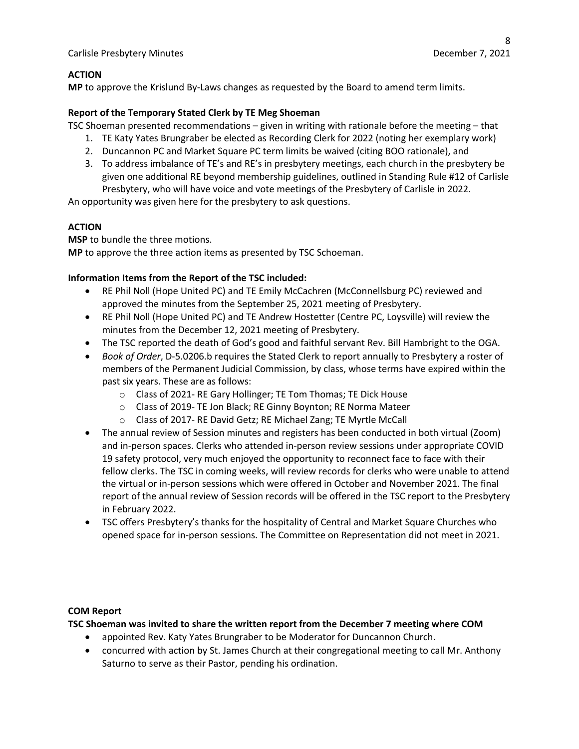## **ACTION**

**MP** to approve the Krislund By-Laws changes as requested by the Board to amend term limits.

### **Report of the Temporary Stated Clerk by TE Meg Shoeman**

TSC Shoeman presented recommendations – given in writing with rationale before the meeting – that

- 1. TE Katy Yates Brungraber be elected as Recording Clerk for 2022 (noting her exemplary work)
- 2. Duncannon PC and Market Square PC term limits be waived (citing BOO rationale), and
- 3. To address imbalance of TE's and RE's in presbytery meetings, each church in the presbytery be given one additional RE beyond membership guidelines, outlined in Standing Rule #12 of Carlisle Presbytery, who will have voice and vote meetings of the Presbytery of Carlisle in 2022.

An opportunity was given here for the presbytery to ask questions.

## **ACTION**

**MSP** to bundle the three motions.

**MP** to approve the three action items as presented by TSC Schoeman.

## **Information Items from the Report of the TSC included:**

- RE Phil Noll (Hope United PC) and TE Emily McCachren (McConnellsburg PC) reviewed and approved the minutes from the September 25, 2021 meeting of Presbytery.
- RE Phil Noll (Hope United PC) and TE Andrew Hostetter (Centre PC, Loysville) will review the minutes from the December 12, 2021 meeting of Presbytery.
- The TSC reported the death of God's good and faithful servant Rev. Bill Hambright to the OGA.
- *Book of Order*, D-5.0206.b requires the Stated Clerk to report annually to Presbytery a roster of members of the Permanent Judicial Commission, by class, whose terms have expired within the past six years. These are as follows:
	- o Class of 2021- RE Gary Hollinger; TE Tom Thomas; TE Dick House
	- o Class of 2019- TE Jon Black; RE Ginny Boynton; RE Norma Mateer
	- o Class of 2017- RE David Getz; RE Michael Zang; TE Myrtle McCall
- The annual review of Session minutes and registers has been conducted in both virtual (Zoom) and in-person spaces. Clerks who attended in-person review sessions under appropriate COVID 19 safety protocol, very much enjoyed the opportunity to reconnect face to face with their fellow clerks. The TSC in coming weeks, will review records for clerks who were unable to attend the virtual or in-person sessions which were offered in October and November 2021. The final report of the annual review of Session records will be offered in the TSC report to the Presbytery in February 2022.
- TSC offers Presbytery's thanks for the hospitality of Central and Market Square Churches who opened space for in-person sessions. The Committee on Representation did not meet in 2021.

### **COM Report**

**TSC Shoeman was invited to share the written report from the December 7 meeting where COM**

- appointed Rev. Katy Yates Brungraber to be Moderator for Duncannon Church.
- concurred with action by St. James Church at their congregational meeting to call Mr. Anthony Saturno to serve as their Pastor, pending his ordination.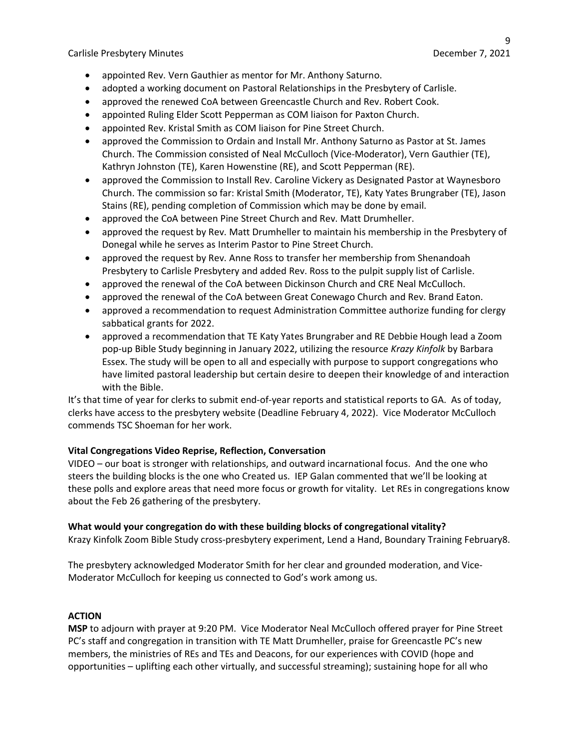- appointed Rev. Vern Gauthier as mentor for Mr. Anthony Saturno.
- adopted a working document on Pastoral Relationships in the Presbytery of Carlisle.
- approved the renewed CoA between Greencastle Church and Rev. Robert Cook.
- appointed Ruling Elder Scott Pepperman as COM liaison for Paxton Church.
- appointed Rev. Kristal Smith as COM liaison for Pine Street Church.
- approved the Commission to Ordain and Install Mr. Anthony Saturno as Pastor at St. James Church. The Commission consisted of Neal McCulloch (Vice-Moderator), Vern Gauthier (TE), Kathryn Johnston (TE), Karen Howenstine (RE), and Scott Pepperman (RE).
- approved the Commission to Install Rev. Caroline Vickery as Designated Pastor at Waynesboro Church. The commission so far: Kristal Smith (Moderator, TE), Katy Yates Brungraber (TE), Jason Stains (RE), pending completion of Commission which may be done by email.
- approved the CoA between Pine Street Church and Rev. Matt Drumheller.
- approved the request by Rev. Matt Drumheller to maintain his membership in the Presbytery of Donegal while he serves as Interim Pastor to Pine Street Church.
- approved the request by Rev. Anne Ross to transfer her membership from Shenandoah Presbytery to Carlisle Presbytery and added Rev. Ross to the pulpit supply list of Carlisle.
- approved the renewal of the CoA between Dickinson Church and CRE Neal McCulloch.
- approved the renewal of the CoA between Great Conewago Church and Rev. Brand Eaton.
- approved a recommendation to request Administration Committee authorize funding for clergy sabbatical grants for 2022.
- approved a recommendation that TE Katy Yates Brungraber and RE Debbie Hough lead a Zoom pop-up Bible Study beginning in January 2022, utilizing the resource *Krazy Kinfolk* by Barbara Essex. The study will be open to all and especially with purpose to support congregations who have limited pastoral leadership but certain desire to deepen their knowledge of and interaction with the Bible.

It's that time of year for clerks to submit end-of-year reports and statistical reports to GA. As of today, clerks have access to the presbytery website (Deadline February 4, 2022). Vice Moderator McCulloch commends TSC Shoeman for her work.

### **Vital Congregations Video Reprise, Reflection, Conversation**

VIDEO – our boat is stronger with relationships, and outward incarnational focus. And the one who steers the building blocks is the one who Created us. IEP Galan commented that we'll be looking at these polls and explore areas that need more focus or growth for vitality. Let REs in congregations know about the Feb 26 gathering of the presbytery.

### **What would your congregation do with these building blocks of congregational vitality?**

Krazy Kinfolk Zoom Bible Study cross-presbytery experiment, Lend a Hand, Boundary Training February8.

The presbytery acknowledged Moderator Smith for her clear and grounded moderation, and Vice-Moderator McCulloch for keeping us connected to God's work among us.

### **ACTION**

**MSP** to adjourn with prayer at 9:20 PM. Vice Moderator Neal McCulloch offered prayer for Pine Street PC's staff and congregation in transition with TE Matt Drumheller, praise for Greencastle PC's new members, the ministries of REs and TEs and Deacons, for our experiences with COVID (hope and opportunities – uplifting each other virtually, and successful streaming); sustaining hope for all who